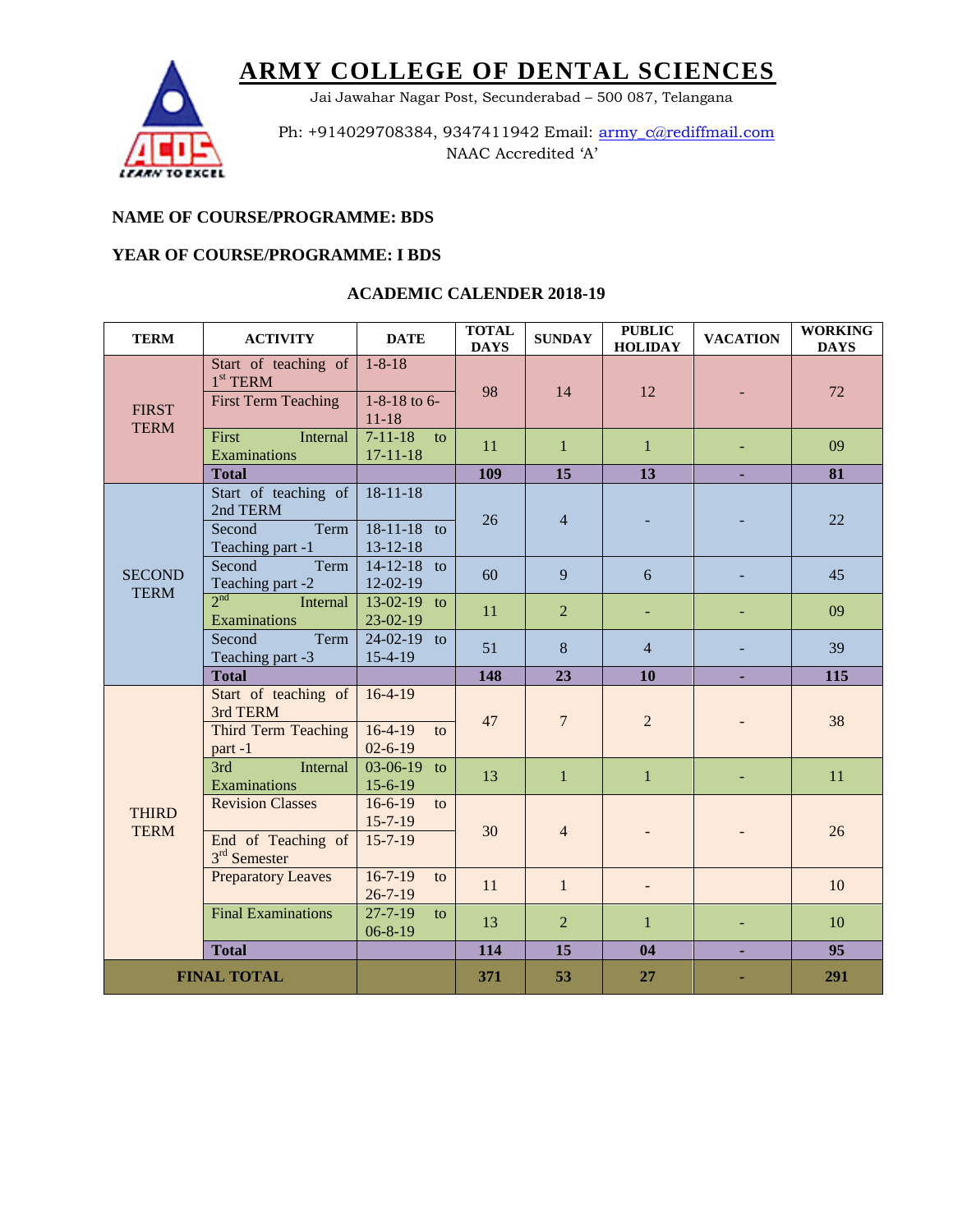

Jai Jawahar Nagar Post, Secunderabad – 500 087, Telangana

Ph: +914029708384, 9347411942 Email: army\_c@rediffmail.com NAAC Accredited 'A'

### **NAME OF COURSE/PROGRAMME: BDS**

#### **YEAR OF COURSE/PROGRAMME: I BDS**

| <b>TERM</b>                  | <b>ACTIVITY</b>                                         | <b>DATE</b>                           | <b>TOTAL</b><br><b>DAYS</b> | <b>SUNDAY</b>  | <b>PUBLIC</b><br><b>HOLIDAY</b> | <b>VACATION</b> | <b>WORKING</b><br><b>DAYS</b> |
|------------------------------|---------------------------------------------------------|---------------------------------------|-----------------------------|----------------|---------------------------------|-----------------|-------------------------------|
| <b>FIRST</b><br><b>TERM</b>  | Start of teaching of<br>$1st$ TERM                      | $1 - 8 - 18$                          | 98                          | 14             | 12                              |                 | 72                            |
|                              | <b>First Term Teaching</b>                              | 1-8-18 to 6-<br>$11 - 18$             |                             |                |                                 |                 |                               |
|                              | First<br>Internal<br>Examinations                       | $7 - 11 - 18$<br>to<br>$17 - 11 - 18$ | 11                          | $\mathbf{1}$   | $\mathbf{1}$                    |                 | 09                            |
|                              | <b>Total</b>                                            |                                       | 109                         | 15             | 13                              |                 | 81                            |
| <b>SECOND</b><br><b>TERM</b> | Start of teaching of<br>2nd TERM                        | $18 - 11 - 18$                        | 26                          | $\overline{4}$ |                                 |                 | 22                            |
|                              | Second<br>Term<br>Teaching part -1                      | 18-11-18 to<br>$13 - 12 - 18$         |                             |                |                                 |                 |                               |
|                              | Second<br>Term<br>Teaching part -2                      | $14 - 12 - 18$ to<br>$12-02-19$       | 60                          | 9              | 6                               |                 | 45                            |
|                              | $2^{nd}$<br>Internal<br>Examinations                    | 13-02-19 to<br>$23-02-19$             | 11                          | $\overline{2}$ |                                 |                 | 09                            |
|                              | Second<br>Term<br>Teaching part -3                      | 24-02-19 to<br>$15-4-19$              | 51                          | 8              | $\overline{4}$                  |                 | 39                            |
|                              | <b>Total</b>                                            |                                       | 148                         | 23             | 10                              |                 | 115                           |
| <b>THIRD</b><br><b>TERM</b>  | Start of teaching of<br>3rd TERM<br>Third Term Teaching | $16-4-19$<br>$16-4-19$<br>to          | 47                          | $\overline{7}$ | $\overline{2}$                  |                 | 38                            |
|                              | part-1                                                  | $02 - 6 - 19$                         |                             |                |                                 |                 |                               |
|                              | 3rd<br>Internal<br>Examinations                         | 03-06-19 to<br>$15-6-19$              | 13                          | $\mathbf{1}$   | $\mathbf{1}$                    |                 | 11                            |
|                              | <b>Revision Classes</b>                                 | $16-6-19$<br>to<br>$15 - 7 - 19$      | 30                          | $\overline{4}$ |                                 |                 | 26                            |
|                              | End of Teaching of<br>3 <sup>rd</sup> Semester          | $15 - 7 - 19$                         |                             |                |                                 |                 |                               |
|                              | <b>Preparatory Leaves</b>                               | $16 - 7 - 19$<br>to<br>$26 - 7 - 19$  | 11                          | $\mathbf{1}$   |                                 |                 | 10                            |
|                              | <b>Final Examinations</b>                               | $27 - 7 - 19$<br>to<br>$06 - 8 - 19$  | 13                          | $\overline{2}$ | $\mathbf{1}$                    |                 | 10                            |
|                              | <b>Total</b>                                            |                                       | 114                         | 15             | 04                              |                 | 95                            |
| <b>FINAL TOTAL</b>           |                                                         |                                       | 371                         | 53             | 27                              |                 | 291                           |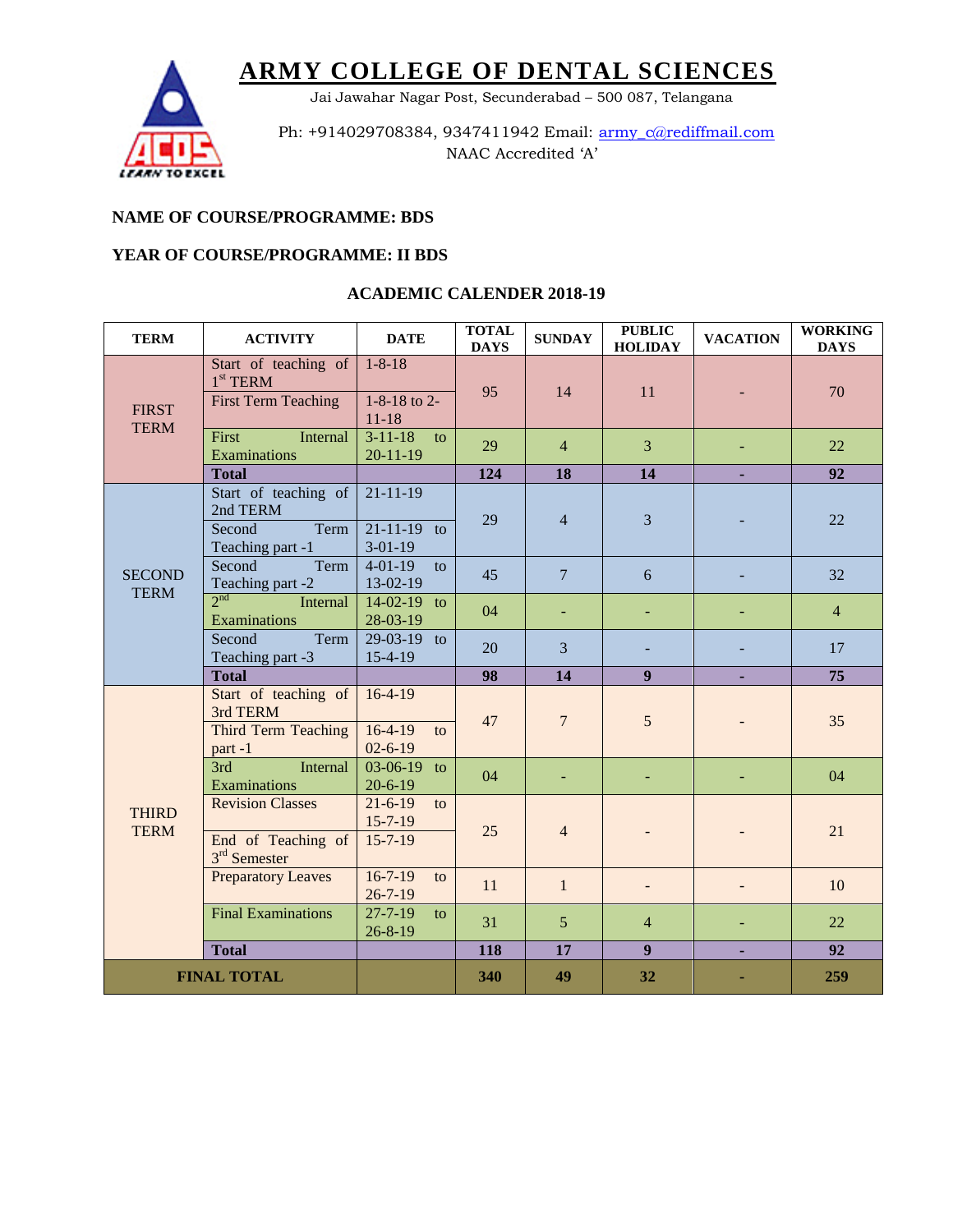

Jai Jawahar Nagar Post, Secunderabad – 500 087, Telangana

Ph: +914029708384, 9347411942 Email: army\_c@rediffmail.com NAAC Accredited 'A'

### **NAME OF COURSE/PROGRAMME: BDS**

#### **YEAR OF COURSE/PROGRAMME: II BDS**

| <b>TERM</b>                  | <b>ACTIVITY</b>                                | <b>DATE</b>                                     | <b>TOTAL</b><br><b>DAYS</b> | <b>SUNDAY</b>   | <b>PUBLIC</b><br><b>HOLIDAY</b> | <b>VACATION</b> | <b>WORKING</b><br><b>DAYS</b> |
|------------------------------|------------------------------------------------|-------------------------------------------------|-----------------------------|-----------------|---------------------------------|-----------------|-------------------------------|
| <b>FIRST</b><br><b>TERM</b>  | Start of teaching of<br>$1st$ TERM             | $1 - 8 - 18$                                    | 95                          | 14              | 11                              |                 | 70                            |
|                              | <b>First Term Teaching</b>                     | 1-8-18 to 2-<br>$11 - 18$                       |                             |                 |                                 |                 |                               |
|                              | First<br>Internal<br>Examinations              | $3 - 11 - 18$<br>$\mathbf{t}$<br>$20 - 11 - 19$ | 29                          | $\overline{4}$  | $\overline{3}$                  |                 | 22                            |
|                              | <b>Total</b>                                   |                                                 | 124                         | 18              | 14                              |                 | 92                            |
| <b>SECOND</b><br><b>TERM</b> | Start of teaching of<br>2nd TERM               | $21 - 11 - 19$                                  | 29                          | $\overline{4}$  | $\overline{3}$                  |                 | 22                            |
|                              | Second<br>Term<br>Teaching part -1             | $21 - 11 - 19$ to<br>$3-01-19$                  |                             |                 |                                 |                 |                               |
|                              | Second<br>Term<br>Teaching part -2             | $4 - 01 - 19$<br>to<br>$13-02-19$               | 45                          | $\overline{7}$  | 6                               |                 | 32                            |
|                              | $2^{nd}$<br>Internal<br>Examinations           | $14-02-19$ to<br>28-03-19                       | 04                          |                 |                                 |                 | $\overline{4}$                |
|                              | Term<br>Second<br>Teaching part -3             | 29-03-19 to<br>15-4-19                          | 20                          | $\overline{3}$  |                                 |                 | 17                            |
|                              | <b>Total</b>                                   |                                                 | 98                          | 14              | 9 <sup>1</sup>                  |                 | 75                            |
|                              | Start of teaching of<br>3rd TERM               | $16-4-19$                                       | 47                          | $\overline{7}$  | 5                               |                 | 35                            |
|                              | Third Term Teaching<br>part-1                  | $16-4-19$<br>to<br>$02 - 6 - 19$                |                             |                 |                                 |                 |                               |
|                              | 3rd<br>Internal<br>Examinations                | $03-06-19$ to<br>$20 - 6 - 19$                  | 04                          |                 |                                 |                 | 04                            |
| <b>THIRD</b><br><b>TERM</b>  | <b>Revision Classes</b>                        | $21 - 6 - 19$<br>to<br>$15 - 7 - 19$            | 25                          | $\overline{4}$  |                                 |                 | 21                            |
|                              | End of Teaching of<br>3 <sup>rd</sup> Semester | $15 - 7 - 19$                                   |                             |                 |                                 |                 |                               |
|                              | <b>Preparatory Leaves</b>                      | $16 - 7 - 19$<br>to<br>$26 - 7 - 19$            | 11                          | $\mathbf{1}$    |                                 |                 | 10                            |
|                              | <b>Final Examinations</b>                      | $27 - 7 - 19$<br>to<br>$26 - 8 - 19$            | 31                          | $5\overline{)}$ | $\overline{4}$                  |                 | 22                            |
|                              | <b>Total</b>                                   |                                                 | 118                         | 17              | 9 <sup>°</sup>                  |                 | 92                            |
| <b>FINAL TOTAL</b>           |                                                |                                                 | 340                         | 49              | 32                              |                 | 259                           |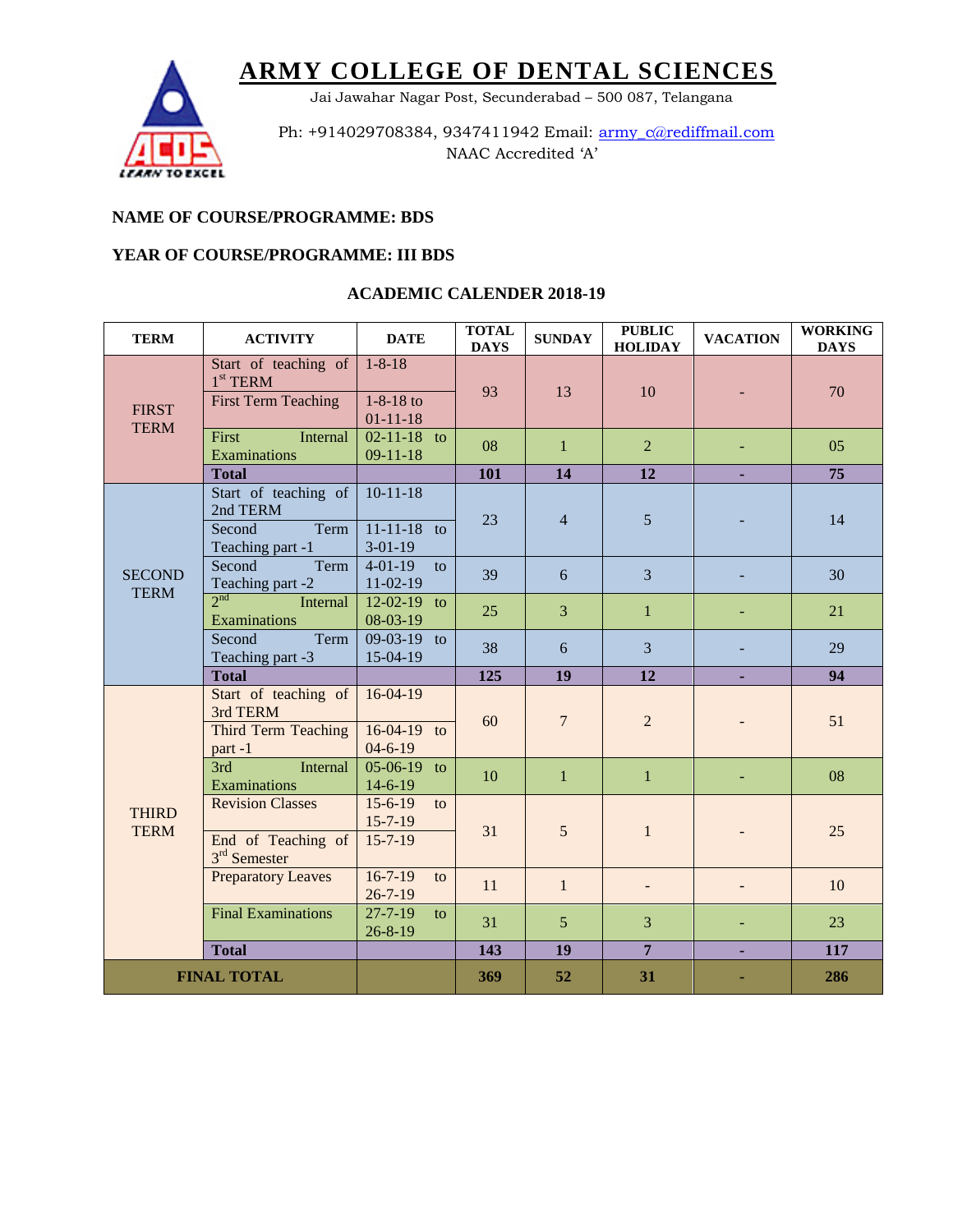

Jai Jawahar Nagar Post, Secunderabad – 500 087, Telangana

Ph: +914029708384, 9347411942 Email: army\_c@rediffmail.com NAAC Accredited 'A'

### **NAME OF COURSE/PROGRAMME: BDS**

### **YEAR OF COURSE/PROGRAMME: III BDS**

| <b>TERM</b>                  | <b>ACTIVITY</b>                                         | <b>DATE</b>                                       | <b>TOTAL</b><br><b>DAYS</b> | <b>SUNDAY</b>   | <b>PUBLIC</b><br><b>HOLIDAY</b> | <b>VACATION</b> | <b>WORKING</b><br><b>DAYS</b> |
|------------------------------|---------------------------------------------------------|---------------------------------------------------|-----------------------------|-----------------|---------------------------------|-----------------|-------------------------------|
| <b>FIRST</b><br><b>TERM</b>  | Start of teaching of<br>$1st$ TERM                      | $1 - 8 - 18$                                      | 93                          | 13              | 10                              |                 | 70                            |
|                              | <b>First Term Teaching</b>                              | $1 - 8 - 18$ to<br>$01 - 11 - 18$                 |                             |                 |                                 |                 |                               |
|                              | First<br>Internal<br>Examinations                       | $02 - 11 - 18$ to<br>$09-11-18$                   | 08                          | $\mathbf{1}$    | $\overline{2}$                  |                 | 05                            |
|                              | <b>Total</b>                                            |                                                   | 101                         | 14              | 12                              |                 | 75                            |
| <b>SECOND</b><br><b>TERM</b> | Start of teaching of<br>2nd TERM                        | $10 - 11 - 18$                                    | 23                          | $\overline{4}$  | 5                               |                 | 14                            |
|                              | Second<br>Term<br>Teaching part -1                      | $11-11-18$ to<br>$3-01-19$                        |                             |                 |                                 |                 |                               |
|                              | Second<br>Term<br>Teaching part -2                      | $4 - 01 - 19$<br>to<br>$11-02-19$                 | 39                          | 6               | $\overline{3}$                  |                 | 30                            |
|                              | $2^{nd}$<br>Internal<br>Examinations                    | $12-02-19$ to<br>08-03-19                         | 25                          | 3               | $\mathbf{1}$                    |                 | 21                            |
|                              | Term<br>Second<br>Teaching part -3                      | 09-03-19 to<br>15-04-19                           | 38                          | 6               | $\overline{3}$                  |                 | 29                            |
|                              | <b>Total</b>                                            |                                                   | 125                         | 19              | 12                              |                 | 94                            |
| <b>THIRD</b><br><b>TERM</b>  | Start of teaching of<br>3rd TERM<br>Third Term Teaching | $16-04-19$<br>$16-04-19$ to                       | 60                          | $\overline{7}$  | $\overline{c}$                  |                 | 51                            |
|                              | part-1<br>3rd<br>Internal<br>Examinations               | $04 - 6 - 19$<br>$05-06-19$ to                    | 10                          | $\mathbf{1}$    | $\mathbf{1}$                    |                 | 08                            |
|                              | <b>Revision Classes</b>                                 | $14-6-19$<br>$15 - 6 - 19$<br>to<br>$15 - 7 - 19$ | 31                          | 5               | $\mathbf{1}$                    |                 | 25                            |
|                              | End of Teaching of<br>3 <sup>rd</sup> Semester          | $15 - 7 - 19$                                     |                             |                 |                                 |                 |                               |
|                              | <b>Preparatory Leaves</b>                               | $16 - 7 - 19$<br>to<br>$26 - 7 - 19$              | 11                          | $\mathbf{1}$    |                                 |                 | 10                            |
|                              | <b>Final Examinations</b>                               | $27 - 7 - 19$<br>to<br>$26 - 8 - 19$              | 31                          | $5\overline{)}$ | 3                               |                 | 23                            |
|                              | <b>Total</b>                                            |                                                   | 143                         | 19              | $\overline{7}$                  |                 | 117                           |
| <b>FINAL TOTAL</b>           |                                                         |                                                   | 369                         | 52              | 31                              |                 | 286                           |